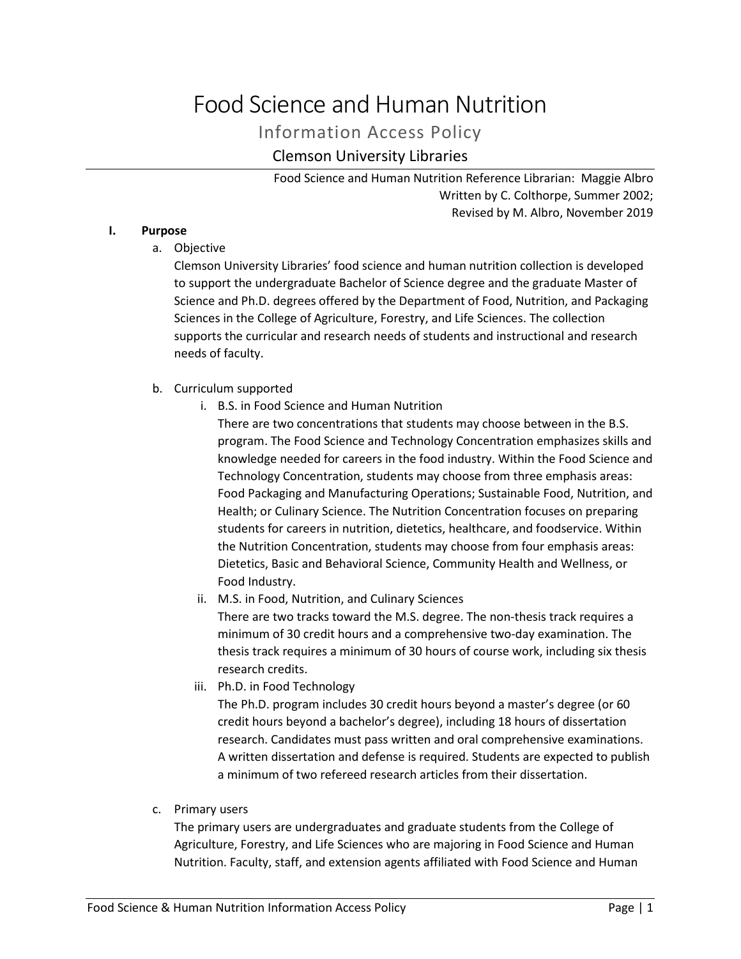# Food Science and Human Nutrition

Information Access Policy

# Clemson University Libraries

Food Science and Human Nutrition Reference Librarian: Maggie Albro Written by C. Colthorpe, Summer 2002; Revised by M. Albro, November 2019

# **I. Purpose**

a. Objective

Clemson University Libraries' food science and human nutrition collection is developed to support the undergraduate Bachelor of Science degree and the graduate Master of Science and Ph.D. degrees offered by the Department of Food, Nutrition, and Packaging Sciences in the College of Agriculture, Forestry, and Life Sciences. The collection supports the curricular and research needs of students and instructional and research needs of faculty.

# b. Curriculum supported

i. B.S. in Food Science and Human Nutrition

There are two concentrations that students may choose between in the B.S. program. The Food Science and Technology Concentration emphasizes skills and knowledge needed for careers in the food industry. Within the Food Science and Technology Concentration, students may choose from three emphasis areas: Food Packaging and Manufacturing Operations; Sustainable Food, Nutrition, and Health; or Culinary Science. The Nutrition Concentration focuses on preparing students for careers in nutrition, dietetics, healthcare, and foodservice. Within the Nutrition Concentration, students may choose from four emphasis areas: Dietetics, Basic and Behavioral Science, Community Health and Wellness, or Food Industry.

ii. M.S. in Food, Nutrition, and Culinary Sciences

There are two tracks toward the M.S. degree. The non-thesis track requires a minimum of 30 credit hours and a comprehensive two-day examination. The thesis track requires a minimum of 30 hours of course work, including six thesis research credits.

iii. Ph.D. in Food Technology

The Ph.D. program includes 30 credit hours beyond a master's degree (or 60 credit hours beyond a bachelor's degree), including 18 hours of dissertation research. Candidates must pass written and oral comprehensive examinations. A written dissertation and defense is required. Students are expected to publish a minimum of two refereed research articles from their dissertation.

c. Primary users

The primary users are undergraduates and graduate students from the College of Agriculture, Forestry, and Life Sciences who are majoring in Food Science and Human Nutrition. Faculty, staff, and extension agents affiliated with Food Science and Human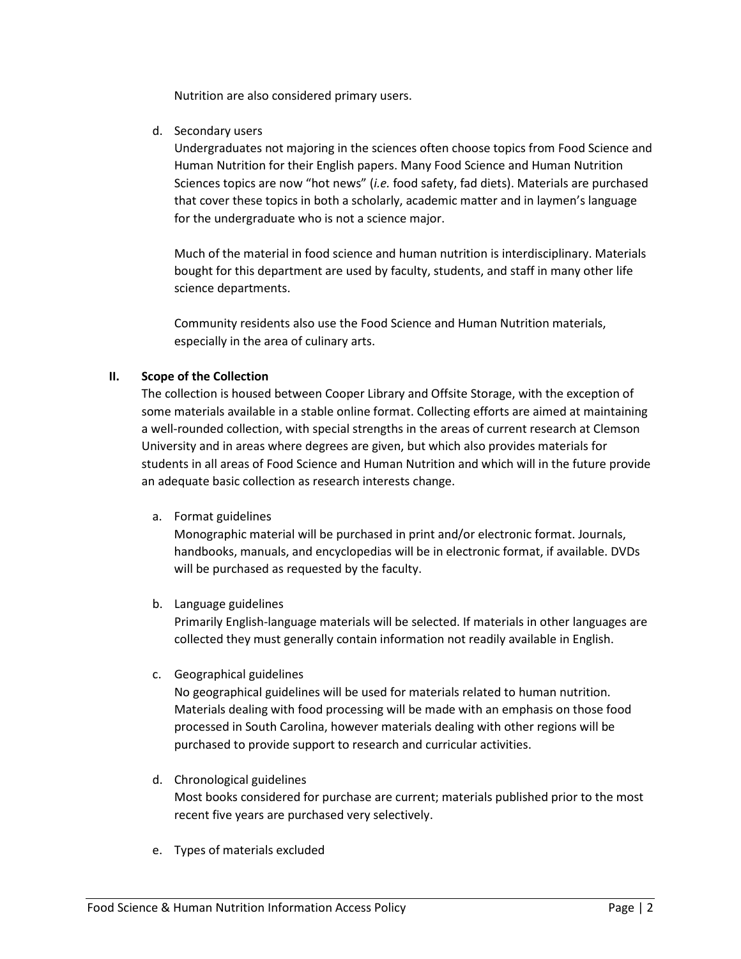Nutrition are also considered primary users.

d. Secondary users

Undergraduates not majoring in the sciences often choose topics from Food Science and Human Nutrition for their English papers. Many Food Science and Human Nutrition Sciences topics are now "hot news" (*i.e.* food safety, fad diets). Materials are purchased that cover these topics in both a scholarly, academic matter and in laymen's language for the undergraduate who is not a science major.

Much of the material in food science and human nutrition is interdisciplinary. Materials bought for this department are used by faculty, students, and staff in many other life science departments.

Community residents also use the Food Science and Human Nutrition materials, especially in the area of culinary arts.

# **II. Scope of the Collection**

The collection is housed between Cooper Library and Offsite Storage, with the exception of some materials available in a stable online format. Collecting efforts are aimed at maintaining a well-rounded collection, with special strengths in the areas of current research at Clemson University and in areas where degrees are given, but which also provides materials for students in all areas of Food Science and Human Nutrition and which will in the future provide an adequate basic collection as research interests change.

a. Format guidelines

Monographic material will be purchased in print and/or electronic format. Journals, handbooks, manuals, and encyclopedias will be in electronic format, if available. DVDs will be purchased as requested by the faculty.

b. Language guidelines

Primarily English-language materials will be selected. If materials in other languages are collected they must generally contain information not readily available in English.

c. Geographical guidelines

No geographical guidelines will be used for materials related to human nutrition. Materials dealing with food processing will be made with an emphasis on those food processed in South Carolina, however materials dealing with other regions will be purchased to provide support to research and curricular activities.

- d. Chronological guidelines Most books considered for purchase are current; materials published prior to the most recent five years are purchased very selectively.
- e. Types of materials excluded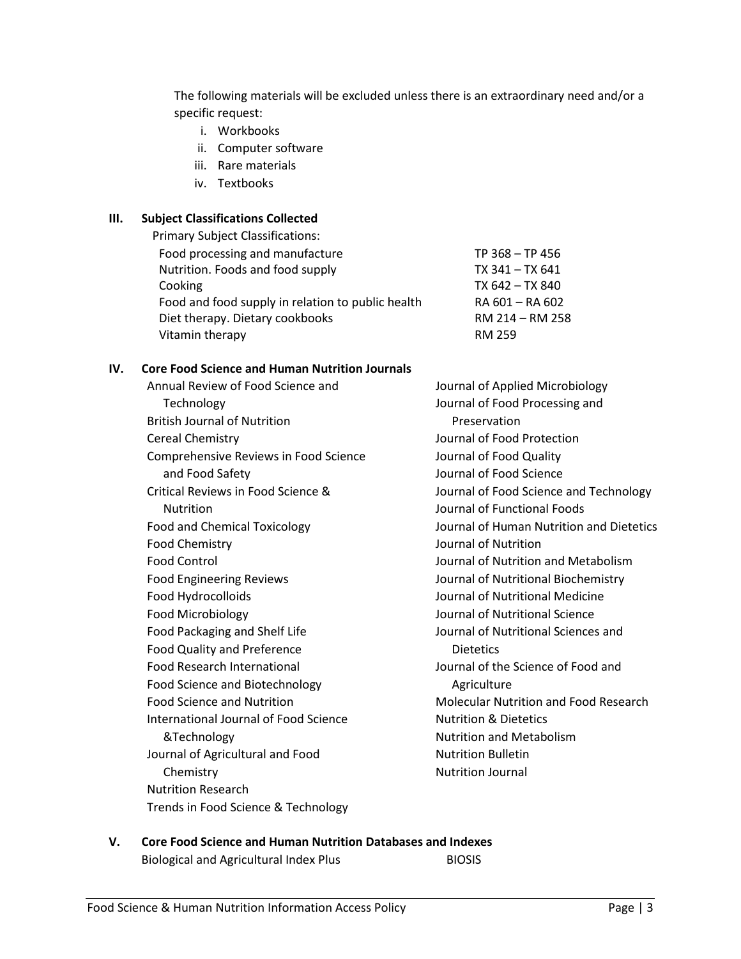The following materials will be excluded unless there is an extraordinary need and/or a specific request:

- i. Workbooks
- ii. Computer software
- iii. Rare materials
- iv. Textbooks

# **III. Subject Classifications Collected**

| <b>Primary Subject Classifications:</b>           |                 |
|---------------------------------------------------|-----------------|
| Food processing and manufacture                   | TP 368 - TP 456 |
| Nutrition. Foods and food supply                  | TX 341 - TX 641 |
| Cooking                                           | TX 642 - TX 840 |
| Food and food supply in relation to public health | RA 601 - RA 602 |
| Diet therapy. Dietary cookbooks                   | RM 214 - RM 258 |
| Vitamin therapy                                   | <b>RM 259</b>   |
|                                                   |                 |

# **IV. Core Food Science and Human Nutrition Journals**

| Annual Review of Food Science and     |
|---------------------------------------|
| Technology                            |
| <b>British Journal of Nutrition</b>   |
| <b>Cereal Chemistry</b>               |
| Comprehensive Reviews in Food Science |
| and Food Safety                       |
| Critical Reviews in Food Science &    |
| Nutrition                             |
| <b>Food and Chemical Toxicology</b>   |
| <b>Food Chemistry</b>                 |
| <b>Food Control</b>                   |
| <b>Food Engineering Reviews</b>       |
| Food Hydrocolloids                    |
| Food Microbiology                     |
| Food Packaging and Shelf Life         |
| <b>Food Quality and Preference</b>    |
| <b>Food Research International</b>    |
| Food Science and Biotechnology        |
| <b>Food Science and Nutrition</b>     |
| International Journal of Food Science |
| &Technology                           |
| Journal of Agricultural and Food      |
| Chemistry                             |
| <b>Nutrition Research</b>             |
| Trends in Food Science & Technology   |

Journal of Applied Microbiology Journal of Food Processing and Preservation Journal of Food Protection Journal of Food Quality Journal of Food Science Journal of Food Science and Technology Journal of Functional Foods Journal of Human Nutrition and Dietetics Journal of Nutrition Journal of Nutrition and Metabolism Journal of Nutritional Biochemistry Journal of Nutritional Medicine Journal of Nutritional Science Journal of Nutritional Sciences and **Dietetics** Journal of the Science of Food and Agriculture Molecular Nutrition and Food Research Nutrition & Dietetics Nutrition and Metabolism Nutrition Bulletin Nutrition Journal

# **V. Core Food Science and Human Nutrition Databases and Indexes** Biological and Agricultural Index Plus BIOSIS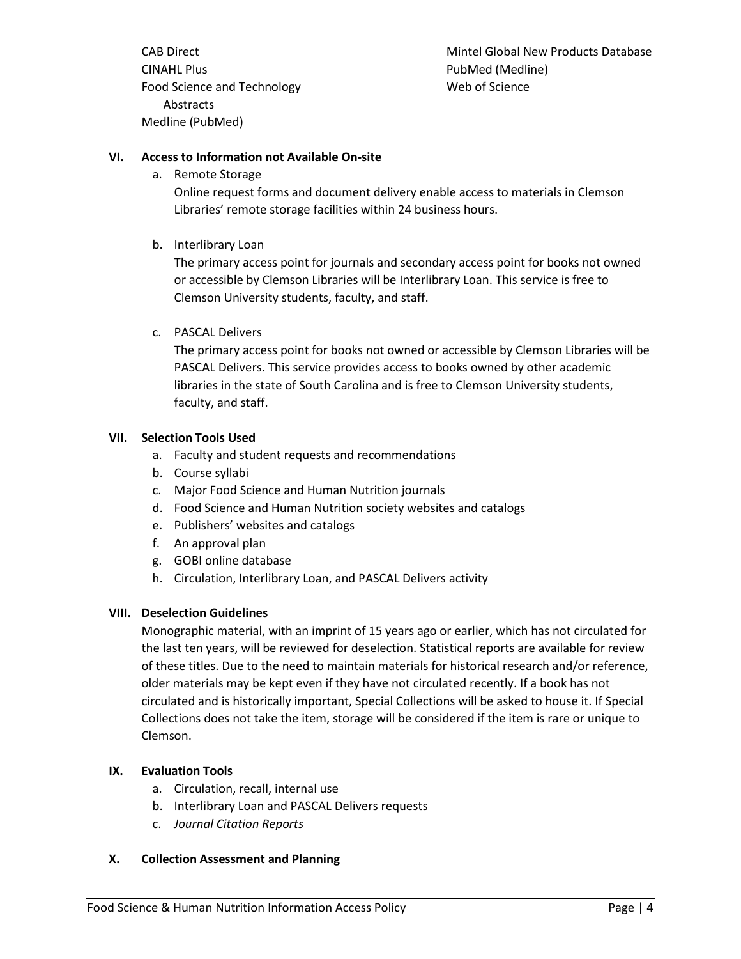CAB Direct CINAHL Plus Food Science and Technology Abstracts Medline (PubMed)

Mintel Global New Products Database PubMed (Medline) Web of Science

# **VI. Access to Information not Available On-site**

a. Remote Storage

Online request forms and document delivery enable access to materials in Clemson Libraries' remote storage facilities within 24 business hours.

b. Interlibrary Loan

The primary access point for journals and secondary access point for books not owned or accessible by Clemson Libraries will be Interlibrary Loan. This service is free to Clemson University students, faculty, and staff.

c. PASCAL Delivers

The primary access point for books not owned or accessible by Clemson Libraries will be PASCAL Delivers. This service provides access to books owned by other academic libraries in the state of South Carolina and is free to Clemson University students, faculty, and staff.

# **VII. Selection Tools Used**

- a. Faculty and student requests and recommendations
- b. Course syllabi
- c. Major Food Science and Human Nutrition journals
- d. Food Science and Human Nutrition society websites and catalogs
- e. Publishers' websites and catalogs
- f. An approval plan
- g. GOBI online database
- h. Circulation, Interlibrary Loan, and PASCAL Delivers activity

# **VIII. Deselection Guidelines**

Monographic material, with an imprint of 15 years ago or earlier, which has not circulated for the last ten years, will be reviewed for deselection. Statistical reports are available for review of these titles. Due to the need to maintain materials for historical research and/or reference, older materials may be kept even if they have not circulated recently. If a book has not circulated and is historically important, Special Collections will be asked to house it. If Special Collections does not take the item, storage will be considered if the item is rare or unique to Clemson.

# **IX. Evaluation Tools**

- a. Circulation, recall, internal use
- b. Interlibrary Loan and PASCAL Delivers requests
- c. *Journal Citation Reports*

# **X. Collection Assessment and Planning**